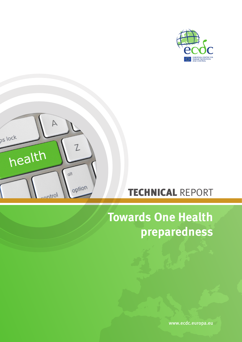



## TECHNICAL REPORT

# **Towards One Health preparedness**

www.ecdc.europa.eu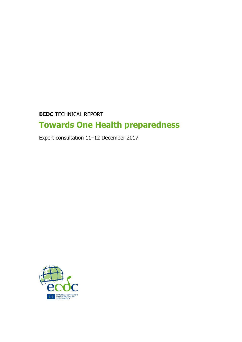**ECDC** TECHNICAL REPORT

## **Towards One Health preparedness**

Expert consultation 11–12 December 2017

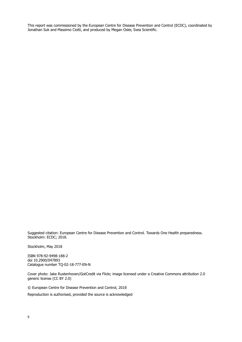This report was commissioned by the European Centre for Disease Prevention and Control (ECDC), coordinated by Jonathan Suk and Massimo Ciotti, and produced by Megan Osler, Svea Scientific.

Suggested citation: European Centre for Disease Prevention and Control. Towards One Health preparedness. Stockholm: ECDC; 2018.

Stockholm, May 2018

ISBN 978-92-9498-188-2 doi 10.2900/047893 Catalogue number TQ-02-18-777-EN-N

Cover photo: Jake Rustenhoven/GotCredit via Flickr, image licensed under a Creative Commons attribution 2.0 generic license (CC BY 2.0)

© European Centre for Disease Prevention and Control, 2018

Reproduction is authorised, provided the source is acknowledged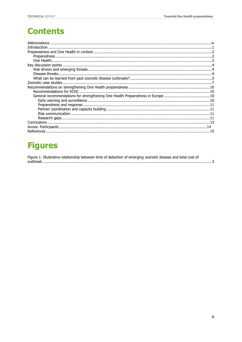## **Contents**

| General recommendations for strengthening One Health Preparedness in Europe10 |  |
|-------------------------------------------------------------------------------|--|
|                                                                               |  |
|                                                                               |  |
|                                                                               |  |
|                                                                               |  |
|                                                                               |  |
|                                                                               |  |
|                                                                               |  |

## **Figures**

| Figure 1. Illustrative relationship between time of detection of emerging zoonotic disease and total cost of |  |  |  |
|--------------------------------------------------------------------------------------------------------------|--|--|--|
|                                                                                                              |  |  |  |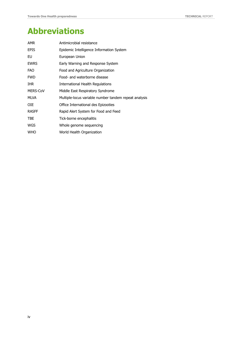## <span id="page-4-0"></span>**Abbreviations**

| AMR             | Antimicrobial resistance                              |
|-----------------|-------------------------------------------------------|
| EPIS            | Epidemic Intelligence Information System              |
| EU              | European Union                                        |
| <b>EWRS</b>     | Early Warning and Response System                     |
| FAO             | Food and Agriculture Organization                     |
| FWD             | Food- and waterborne disease                          |
| IHR             | International Health Regulations                      |
| <b>MERS-CoV</b> | Middle East Respiratory Syndrome                      |
| MLVA            | Multiple-locus variable number tandem repeat analysis |
| OIE             | Office International des Epizooties                   |
| RASFF           | Rapid Alert System for Food and Feed                  |
| TBE             | Tick-borne encephalitis                               |
| WGS             | Whole genome sequencing                               |
| WHO             | World Health Organization                             |
|                 |                                                       |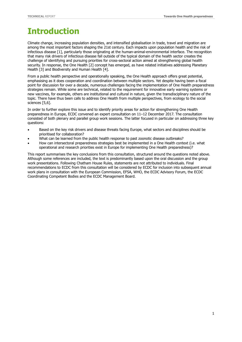## <span id="page-5-0"></span>**Introduction**

Climate change, increasing population densities, and intensified globalisation in trade, travel and migration are among the most important factors shaping the 21st century. Each impacts upon population health and the risk of infectious disease [1], particularly those originating at the human-animal-environmental interface. The recognition that many risk drivers of infectious disease fall outside of the typical domain of the health sector creates the challenge of identifying and pursuing priorities for cross-sectoral action aimed at strengthening global health security. In response, the One Health [2] concept has emerged, as have related initiatives addressing Planetary Health [3] and Biodiversity and Human Health [4].

From a public health perspective and operationally speaking, the One Health approach offers great potential, emphasising as it does cooperation and coordination between multiple sectors. Yet despite having been a focal point for discussion for over a decade, numerous challenges facing the implementation of One Health preparedness strategies remain. While some are technical, related to the requirement for innovative early warning systems or new vaccines, for example, others are institutional and cultural in nature, given the transdisciplinary nature of the topic. There have thus been calls to address One Health from multiple perspectives, from ecology to the social sciences [5,6].

In order to further explore this issue and to identify priority areas for action for strengthening One Health preparedness in Europe, ECDC convened an expert consultation on 11–12 December 2017. The consultation consisted of both plenary and parallel group work sessions. The latter focused in particular on addressing three key questions:

- Based on the key risk drivers and disease threats facing Europe, what sectors and disciplines should be prioritised for collaboration?
- What can be learned from the public health response to past zoonotic disease outbreaks?
- How can intersectoral preparedness strategies best be implemented in a One Health context (i.e. what operational and research priorities exist in Europe for implementing One Health preparedness)?

This report summarises the key conclusions from this consultation, structured around the questions noted above. Although some references are included, the text is predominantly based upon the oral discussion and the group work presentations. Following Chatham House Rules, statements are not attributed to individuals. Final recommendations to ECDC from this consultation will be considered by ECDC for inclusion into subsequent annual work plans in consultation with the European Commission, EFSA, WHO, the ECDC Advisory Forum, the ECDC Coordinating Competent Bodies and the ECDC Management Board.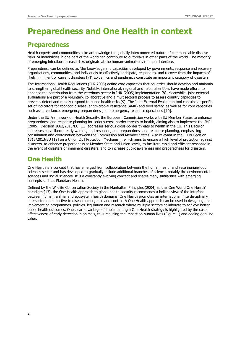## <span id="page-6-0"></span>**Preparedness and One Health in context**

### <span id="page-6-1"></span>**Preparedness**

Health experts and communities alike acknowledge the globally interconnected nature of communicable disease risks. Vulnerabilities in one part of the world can contribute to outbreaks in other parts of the world. The majority of emerging infectious disease risks originate at the human–animal–environment interface.

Preparedness can be defined as 'the knowledge and capacities developed by governments, response and recovery organizations, communities, and individuals to effectively anticipate, respond to, and recover from the impacts of likely, imminent or current disasters [7]'. Epidemics and pandemics constitute an important category of disasters.

The International Health Regulations (IHR 2005) define core capacities that countries should develop and maintain to strengthen global health security. Notably, international, regional and national entities have made efforts to enhance the contribution from the veterinary sector in IHR (2005) implementation [8]. Meanwhile, joint external evaluations are part of a voluntary, collaborative and a multisectoral process to assess country capacities to prevent, detect and rapidly respond to public health risks [9]. The Joint External Evaluation tool contains a specific set of indicators for zoonotic disease, antimicrobial resistance (AMR) and food safety, as well as for core capacities such as surveillance, emergency preparedness, and emergency response operations [10].

Under the EU Framework on Health Security, the European Commission works with EU Member States to enhance preparedness and response planning for serious cross-border threats to health, aiming also to implement the IHR (2005). Decision 1082/2013/EU [11] addresses serious cross-border threats to health in the EU. This Decision addresses surveillance, early warning and response, and preparedness and response planning, emphasising consultation and coordination between the Commission and Member States. Also relevant in the EU is Decision 1313/2013/EU [12] on a Union Civil Protection Mechanism, which aims to ensure a high level of protection against disasters, to enhance preparedness at Member State and Union levels, to facilitate rapid and efficient response in the event of disasters or imminent disasters, and to increase public awareness and preparedness for disasters.

### <span id="page-6-2"></span>**One Health**

One Health is a concept that has emerged from collaboration between the human health and veterinarian/food sciences sector and has developed to gradually include additional branches of science, notably the environmental sciences and social sciences. It is a constantly evolving concept and shares many similarities with emerging concepts such as Planetary Health.

Defined by the Wildlife Conservation Society in the Manhattan Principles (2004) as the 'One World One Health' paradigm [13], the One Health approach to global health security recommends a holistic view of the interface between human, animal and ecosystem health domains. One Health promotes an international, interdisciplinary, intersectoral perspective to disease emergence and control. A One Health approach can be used in designing and implementing programmes, policies, legislation and research where multiple sectors collaborate to achieve better public health outcomes. One clear advantage of implementing a One Health strategy is highlighted by the costeffectiveness of early detection in animals, thus reducing the impact on human lives (Figure 1) and adding genuine value.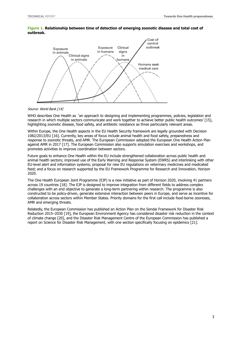

#### <span id="page-7-0"></span>**Figure 1. Relationship between time of detection of emerging zoonotic disease and total cost of outbreak.**

#### Source: World Bank [14]

WHO describes One Health as 'an approach to designing and implementing programmes, policies, legislation and research in which multiple sectors communicate and work together to achieve better public health outcomes' [15], highlighting zoonotic disease, food safety, and antibiotic resistance as three particularly relevant areas.

Within Europe, the One Health aspects in the EU Health Security framework are legally grounded with Decision 1082/2013/EU [16]. Currently, key areas of focus include animal health and food safety, preparedness and response to zoonotic threats, and AMR. The European Commission adopted the European One Health Action Plan against AMR in 2017 [17]. The European Commission also supports simulation exercises and workshops, and promotes activities to improve coordination between sectors.

Future goals to enhance One Health within the EU include strengthened collaboration across public health and animal health sectors; improved use of the Early Warning and Response System (EWRS) and interlinking with other EU-level alert and information systems; proposal for new EU regulations on veterinary medicines and medicated feed; and a focus on research supported by the EU Framework Programme for Research and Innovation, Horizon 2020.

The One Health European Joint Programme (EJP) is a new initiative as part of Horizon 2020, involving 41 partners across 19 countries [18]. The EJP is designed to improve integration from different fields to address complex challenges with an end objective to generate a long-term partnering within research. The programme is also constructed to be policy-driven, generate extensive interaction between peers in Europe, and serve as incentive for collaboration across sectors within Member States. Priority domains for the first call include food-borne zoonoses, AMR and emerging threats.

Relatedly, the European Commission has published an Action Plan on the Sendai Framework for Disaster Risk Reduction 2015–2030 [19], the European Environment Agency has considered disaster risk reduction in the context of climate change [20], and the Disaster Risk Management Centre of the European Commission has published a report on Science for Disaster Risk Management, with one section specifically focusing on epidemics [21].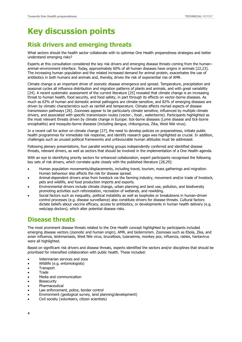## <span id="page-8-0"></span>**Key discussion points**

## <span id="page-8-1"></span>**Risk drivers and emerging threats**

What sectors should the health sector collaborate with to optimise One Health preparedness strategies and better understand emerging risks?

Experts at this consultation considered the key risk drivers and emerging disease threats coming from the human– animal–environment interface. Today, approximately 60% of all human diseases have origins in animals [22,23]. The increasing human population and the related increased demand for animal protein, exacerbates the use of antibiotics in both humans and animals and, thereby, drives the risk of exponential rise of AMR.

Climate change is an important driver of zoonotic disease emergence and spread. Temperature, precipitation and seasonal cycles all influence distribution and migration patterns of plants and animals, and with great variability [24]. A recent systematic assessment of the current literature [25] revealed that climate change is an increasing threat to human health, food security, and food safety, in part through its effects on vector-borne diseases. As much as 63% of human and domestic animal pathogens are climate-sensitive, and 82% of emerging diseases are driven by climatic characteristics such as rainfall and temperature. Climate affects myriad aspects of disease transmission pathways [26]. Zoonoses appear to be particularly climate sensitive, influenced by multiple climate drivers, and associated with specific transmission routes (vector-, food-, waterborne). Participants highlighted as the most relevant threats driven by climate change in Europe: tick-borne diseases (Lyme disease and tick-borne encephalitis) and mosquito-borne diseases (including dengue, chikungunya, Zika, West Nile virus).

In a recent call for action on climate change [27], the need to develop policies on preparedness, initiate public health programmes for immediate risk response, and identify research gaps was highlighted as crucial. In addition, challenges such as unused political frameworks and unfavourable human attitudes must be addressed.

Following plenary presentations, four parallel working groups independently conferred and identified disease threats, relevant drivers, as well as sectors that should be involved in the implementation of a One Health agenda.

With an eye to identifying priority sectors for enhanced collaboration, expert participants recognised the following key sets of risk drivers, which correlate quite closely with the published literature [28,29]:

- Human population movements/displacements, including travel, tourism, mass gatherings and migration. Human behaviour also affects the risk for disease spread.
- Animal-dependent drivers arise from livestock via the farming industry, movement and/or trade of livestock, pets and wildlife, and food production imports and exports.
- Environmental drivers include climate change, urban planning and land use, pollution, and biodiversity promoting activities such reforestation, recreation of wetlands, and rewilding.
- Social factors such as inequality, political instability as well as loopholes or breakdowns in human-driven control processes (e.g. disease surveillance) also constitute drivers for disease threats. Cultural factors dictate beliefs about vaccine efficacy, access to antibiotics, or developments in human health delivery (e.g. web/app doctors), which alter potential disease risks.

## <span id="page-8-2"></span>**Disease threats**

The most prominent disease threats related to the One Health concept highlighted by participants included emerging disease vectors (zoonotic and human origin), AMR, and bioterrorism. Zoonoses such as Ebola, Zika, and avian influenza, leishmaniasis, West Nile virus, brucellosis, tularaemia, monkey pox, influenza, rabies, hantavirus were all highlighted.

Based on significant risk drivers and disease threats, experts identified the sectors and/or disciplines that should be prioritised for intensified collaboration with public health. These included:

- Veterinarian services and zoos
- Wildlife (e.g. entomologists)
- **Transport**
- **Trade**
- Media and communication
- **Biosecurity**
- Pharmaceutical
- Law enforcement, police, border control
- Environment (geological survey, land planning/development)
- Civil society (volunteers, citizen scientists)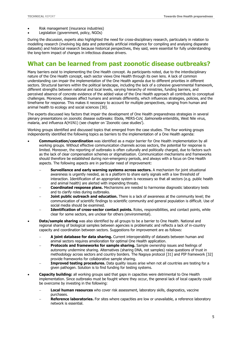- Risk management (insurance industries)
- Legislation (government, policy, NGOs)

During the discussion, experts also highlighted the need for cross-disciplinary research, particularly in relation to modelling research (involving big data and potentially artificial intelligence for compiling and analysing disparate datasets) and historical research because historical perspectives, they said, were essential for fully understanding the long-term impact of changes in infectious disease drivers.

### <span id="page-9-0"></span>**What can be learned from past zoonotic disease outbreaks?**

Many barriers exist to implementing the One Health concept. As participants noted, due to the interdisciplinary nature of the One Health concept, each sector views One Health through its own lens. A lack of common understanding can impair the implementation of the One Health agenda due to different priorities in different sectors. Structural barriers within the political landscape, including the lack of a cohesive governmental framework, different strengths between national and local levels, varying hierarchy of ministries, funding barriers, and perceived absence of concrete evidence of the added value of the One Health approach all contribute to conceptual challenges. Moreover, diseases affect humans and animals differently, which influences strategies, policies, and the timeframe for response. This makes it necessary to account for multiple perspectives, ranging from human and animal health to ecology and social sciences [30].

The experts discussed key factors that impair the development of One Health preparedness strategies in several plenary presentations on zoonotic disease outbreaks: Ebola, MERS-CoV, Salmonella enteriditis, West Nile virus, malaria, and influenza A(H1N1) (see chapter on 'Zoonotic case studies').

Working groups identified and discussed topics that emerged from the case studies. The four working groups independently identified the following topics as barriers to the implementation of a One Health agenda:

- **Communication/coordination** was identified as a major barrier for One Health implementation by all working groups. Without effective communication channels across sectors, the potential for response is limited. Moreover, the reporting of outbreaks is often culturally and politically charged, due to factors such as the lack of clear compensation schemes or stigmatisation. Communication mechanisms and frameworks should therefore be established during non-emergency periods, and always with a focus on One Health aspects. The following aspects are in particular need of improvement:
	- **Surveillance and early warning systems across sectors.** A mechanism for joint situational awareness is urgently needed, as is a platform to share early signals with a low threshold of interaction. Identification of an appropriate system is necessary so that all sectors (e.g. public health and animal health) are alerted with impending threats.
	- **Coordinated response plans.** Mechanisms are needed to harmonise diagnostic laboratory tests and to clarify roles during outbreaks.
	- **Joint public outreach and education.** There is a lack of awareness at the community level; the communication of scientific findings to scientific community and general population is difficult. Use of social media should be examined.
	- **Identification of cross-sector contact points.** Roles, responsibilities, and contact points, while clear for some sectors, are unclear for others (environmental).
- **Data/sample sharing** was also identified by all groups to be a barrier to One Health. National and regional sharing of biological samples between agencies is problematic and reflects a lack of in-country capacity and coordination between sectors. Suggestions for improvement are as follows:
	- **A joint database for data sharing.** Current interoperability of datasets between human and animal sectors requires amelioration for optimal One Health application.
	- **Protocols and frameworks for sample sharing.** Sample ownership issues and feelings of autonomy undermine sharing. Alternatives (sharing DNA, not samples) raise questions of trust in methodology across sectors and country borders. The Nagoya protocol [31] and PIP framework [32] provide frameworks for collaborative sample sharing.
	- **Improved testing procedures.** Data quality issues arise when not all countries are testing for a given pathogen. Solution is to find funding for testing systems.
- **Capacity building:** all working groups said that gaps in capacities were detrimental to One Health implementation. Since outbreaks must be fought where they occur, the general lack of local capacity could be overcome by investing in the following:
	- **Local human resources** who cover risk assessment, laboratory skills, diagnostics, vaccine purchases.
	- **Reference laboratories.** For sites where capacities are low or unavailable, a reference laboratory network is essential.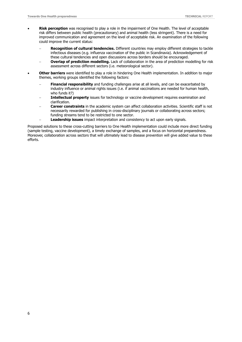- **Risk perception** was recognised to play a role in the impairment of One Health. The level of acceptable risk differs between public health (precautionary) and animal health (less stringent). There is a need for improved communication and agreement on the level of acceptable risk. An examination of the following could improve the current status:
	- **Recognition of cultural tendencies.** Different countries may employ different strategies to tackle infectious diseases (e.g. influenza vaccination of the public in Scandinavia). Acknowledgement of these cultural tendencies and open discussions across borders should be encouraged.
	- **Overlap of prediction modelling.** Lack of collaboration in the area of prediction modelling for risk assessment across different sectors (i.e. meteorological sector).
- **Other barriers** were identified to play a role in hindering One Health implementation. In addition to major themes, working groups identified the following factors:
	- **Financial responsibility** and funding challenges arise at all levels, and can be exacerbated by industry influence or animal rights issues (i.e. if animal vaccinations are needed for human health, who funds it?)
	- **Intellectual property** issues for technology or vaccine development requires examination and clarification.
	- **Career constraints** in the academic system can affect collaboration activities. Scientific staff is not necessarily rewarded for publishing in cross-disciplinary journals or collaborating across sectors; funding streams tend to be restricted to one sector.
	- **Leadership issues** impact interpretation and consistency to act upon early signals.

Proposed solutions to these cross-cutting barriers to One Health implementation could include more direct funding (sample testing, vaccine development), a timely exchange of samples, and a focus on horizontal preparedness. Moreover, collaboration across sectors that will ultimately lead to disease prevention will give added value to these efforts.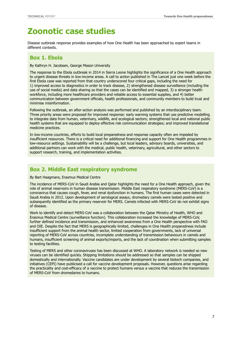## <span id="page-11-0"></span>**Zoonotic case studies**

Disease outbreak response provides examples of how One Health has been approached by expert teams in different contexts.

### **Box 1. Ebola**

By Kathryn H. Jacobsen, George Mason University

The response to the Ebola outbreak in 2014 in Sierra Leone highlights the significance of a One Health approach to urgent disease threats in low-income areas. A call to action published in The Lancet just one week before the first Ebola case was reported from that country underscored four critical gaps, including the need for 1) improved access to diagnostics in order to track disease, 2) strengthened disease surveillance (including the use of social media) and data sharing so that the cases can be identified and mapped, 3) a stronger health workforce, including more healthcare providers and reliable access to essential supplies, and 4) better communication between government officials, health professionals, and community members to build trust and minimise misinformation.

Following the outbreak, an after-action analysis was performed and published by an interdisciplinary team. Three priority areas were proposed for improved response: early warning systems that use predictive modelling to integrate data from human, veterinary, wildlife, and ecological sectors; strengthened local and national public health systems that are equipped to deploy effective risk communication strategies; and improved translational medicine practices.

In low-income countries, efforts to build local preparedness and response capacity often are impeded by insufficient resources. There is a critical need for additional financing and support for One Health programmes in low-resource settings. Sustainability will be a challenge, but local leaders, advisory boards, universities, and additional partners can work with the medical, public health, veterinary, agricultural, and other sectors to support research, training, and implementation activities.

### **Box 2. Middle East respiratory syndrome**

By Bart Haagmans, Erasmus Medical Centre

The incidence of MERS-CoV in Saudi Arabia and Qatar highlights the need for a One Health approach, given the role of animal reservoirs in human disease transmission. Middle East respiratory syndrome (MERS-CoV) is a coronavirus that causes cough, fever, and renal dysfunction in humans. The first human cases were detected in Saudi Arabia in 2012. Upon development of serological assays, dromedary camels were tested positive and subsequently identified as the primary reservoir for MERS. Camels infected with MERS-CoV do not exhibit signs of disease.

Work to identify and detect MERS-CoV was a collaboration between the Qatar Ministry of Health, WHO and Erasmus Medical Centre (surveillance function). This collaboration increased the knowledge of MERS-CoV, further defined incidence and transmission, and enhanced awareness from a One Health perspective with FAO and OIE. Despite the fact that MERS is geographically limited, challenges in One Health preparedness include insufficient support from the animal health sector, limited cooperation from governments, lack of universal reporting of MERS-CoV across countries, incomplete understanding of transmission behaviours in camels and humans, insufficient screening of animal exports/imports, and the lack of coordination when submitting samples to testing facilities.

Testing of MERS and other coronaviruses has been discussed at WHO. A laboratory network is needed so new viruses can be identified quickly. Shipping limitations should be addressed so that samples can be shipped domestically and internationally. Vaccine candidates are under development by several biotech companies, and initiatives (CEPI) have publicised a call for vaccine development proposals. However, questions arise regarding the practicality and cost-efficacy of a vaccine to protect humans versus a vaccine that reduces the transmission of MERS-CoV from dromedaries to humans.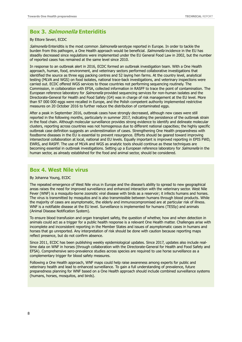### **Box 3. Salmonella Enteriditis**

#### By Ettore Severi, ECDC

Salmonella Enteriditis is the most common Salmonella serotype reported in Europe. In order to tackle the burden from this pathogen, a One Health approach would be beneficial. Salmonella incidence in the EU has steadily decreased since regulations were implemented under the EU General Food Law in 2002, but the number of reported cases has remained at the same level since 2010.

In response to an outbreak alert in 2016, ECDC formed an outbreak investigation team. With a One Health approach, human, food, environment, and veterinary sectors performed collaborative investigations that identified the source as three egg packing centres and 52 laying hen farms. At the country level, analytical testing (MLVA and WGS) on food isolates, national trace-back investigations, and veterinary inspections were carried out. ECDC offered WGS services to those countries not performing sequencing routinely. The Commission, in collaboration with EFSA, collected information in RASFF to trace the point of contamination. The European reference laboratory for *Salmonella* provided sequencing services for non-human isolates and the Directorate-General for Health and Food Safety (G4) was in charge of risk management at the EU level. More than 97 000 000 eggs were recalled in Europe, and the Polish competent authority implemented restrictive measures on 20 October 2016 to further reduce the distribution of contaminated eggs.

After a peak in September 2016, outbreak cases have strongly decreased, although new cases were still reported in the following months, particularly in summer 2017, indicating the persistence of the outbreak strain in the food chain. Although molecular surveillance provides strong evidence to identify and delineate molecular clusters, reporting across countries was not homogenous due to different national capacities; the highly specific outbreak case definition suggests an underestimation of cases. Strengthening One Health preparedness with foodborne diseases in the EU is essential to prevent resurgence. Efforts should be geared toward improving intersectoral collaboration at local, national and EU levels. Equally important is improved reporting in EPIS FWD, EWRS, and RASFF. The use of MLVA and WGS as analytic tools should continue as these techniques are becoming essential in outbreak investigations. Setting up a European reference laboratory for *Salmonella* in the human sector, as already established for the food and animal sector, should be considered.

#### **Box 4. West Nile virus**

#### By Johanna Young, ECDC

The repeated emergence of West Nile virus in Europe and the disease's ability to spread to new geographical areas raises the need for improved surveillance and enhanced interaction with the veterinary sector. West Nile Fever (WNF) is a mosquito-borne zoonotic viral disease with birds as a reservoir; it infects humans and horses. The virus is transmitted by mosquitos and is also transmissible between humans through blood products. While the majority of cases are asymptomatic, the elderly and immunocompromised are at particular risk of illness. WNF is a notifiable disease at the EU level. Surveillance is implemented for humans (TESSy) and animals (Animal Disease Notification System).

To ensure blood transfusion and organ transplant safety, the question of whether, how and when detection in animals could act as a trigger for a public health response is a relevant One Health matter. Challenges arise with incomplete and inconsistent reporting in the Member States and issues of asymptomatic cases in humans and horses that go unreported. Any interpretation of risk should be done with caution because reporting maps reflect presence, but do not confirm absence.

Since 2011, ECDC has been publishing weekly epidemiological updates. Since 2017, updates also include realtime data on WNF in horses (through collaboration with the Directorate-General for Health and Food Safety and EFSA). Comprehensive sero-prevalence studies across species are required to use horse surveillance as a complementary trigger for blood safety measures.

Following a One Health approach, WNF maps could help raise awareness among experts for public and veterinary health and lead to enhanced surveillance. To gain a full understanding of prevalence, future preparedness planning for WNF based on a One Health approach should include combined surveillance systems (humans, horses, mosquitos, and birds).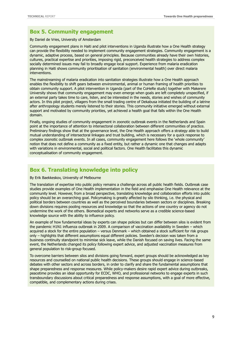### **Box 5. Community engagement**

By Daniel de Vries, University of Amsterdam

Community engagement plans in Haiti and pilot interventions in Uganda illustrate how a One Health strategy can provide the flexibility needed to implement community engagement strategies. Community engagement is a dynamic, adaptive process, based on general principles. Because communities already have their own histories, cultures, practical expertise and priorities, imposing rigid, preconceived health strategies to address complex socially determined issues may fail to broadly engage local support. Experience from malaria eradication planning in Haiti shows community prioritisation of sanitation (environmental health) over direct malaria interventions.

The mainstreaming of malaria eradication into sanitation strategies illustrate how a One Health approach enables the flexibility to shift gears between environmental, animal or human framing of health priorities to obtain community support. A pilot intervention in Uganda (part of the CoHeRe study) together with Makerere University shows that community engagement may even emerge when goals are left completely unspecified, if an external party takes time to care, listen, and be interested in the needs, stories and wishes of community actors. In this pilot project, villagers from the small trading centre of Dekabusa initiated the building of a latrine after anthropology students merely listened to their stories. This community initiative emerged without external support and motivated by community priorities, yet achieved a health goal that falls within the One Health domain.

Finally, ongoing studies of community engagement in zoonotic outbreak events in the Netherlands and Spain point at the importance of attention to intersectoral collaboration between different communities of practice. Preliminary findings show that at the governance level, the One Health approach offers a strategy able to build mutual understanding of intersectoral linkages and trust building, which is necessary for a quick response to complex zoonotic outbreak events. In all cases, community engagement here follows the 'whole community' notion that does not define a community as a fixed entity, but rather a dynamic one that changes and adapts with variations in environmental, social and political factors. One Health facilitates this dynamic conceptualisation of community engagement.

### **Box 6. Translating knowledge into policy**

#### By Erik Baekkeskov, University of Melbourne

The translation of expertise into public policy remains a challenge across all public health fields. Outbreak case studies provide examples of One Health implementation in the field and emphasise One Health relevance at the community level. However, from a broad perspective, translating knowledge and collaboration efforts into public policy should be an overarching goal. Policymaking is greatly affected by silo thinking, i.e. the physical and political borders between countries as well as the perceived boundaries between sectors or disciplines. Breaking down divisions requires pooling resources and knowledge so that the actions of one country or agency do not undermine the work of the others. Biomedical experts and networks serve as a credible science-based knowledge source with the ability to influence policy.

An example of how fundamental ideas by experts can shape policies but can differ between silos is evident from the pandemic H1N1 influenza outbreak in 2009. A comparison of vaccination availability in Sweden – which acquired a stock for the entire population – versus Denmark – which obtained a stock sufficient for risk groups only – highlights that different assumptions equal different policies. Sweden's decision was taken from a business continuity standpoint to minimise sick leave, while the Danish focused on saving lives. Facing the same event, the Netherlands changed its policy following expert advice, and adjusted vaccination measures from general population to risk-group focused.

To overcome barriers between silos and divisions going forward, expert groups should be acknowledged as key resources and counselled on national public health decisions. These groups should engage in science-based debates with other sectors and across borders, in order to clarify and share the fundamental assumptions that shape preparedness and response measures. While policy-makers desire rapid expert advice during outbreaks, peacetime provides an ideal opportunity for ECDC, WHO, and professional networks to engage experts in such transboundary discussions about critical preparedness and response assumptions, with a goal of more effective, compatible, and complementary actions during crises.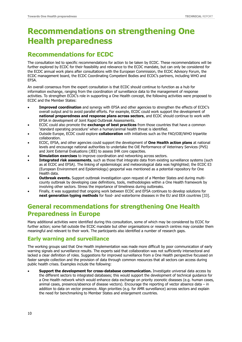## <span id="page-14-0"></span>**Recommendations on strengthening One Health preparedness**

## <span id="page-14-1"></span>**Recommendations for ECDC**

The consultation led to specific recommendations for action to be taken by ECDC. These recommendations will be further explored by ECDC for their feasibility and relevance to the ECDC mandate, but can only be considered for the ECDC annual work plans after consultations with the European Commission, the ECDC Advisory Forum, the ECDC management board, the ECDC Coordinating Competent Bodies and ECDC's partners, including WHO and EFSA.

An overall consensus from the expert consultation is that ECDC should continue to function as a hub for information exchange, ranging from the coordination of surveillance data to the management of response activities. To strengthen ECDC's role in supporting a One Health concept, the following activities were proposed to ECDC and the Member States:

- **Improved coordination** and synergy with EFSA and other agencies to strengthen the effects of ECDC's overall output and to avoid parallel efforts. For example, ECDC could work support the development of **national preparedness and response plans across sectors**, and ECDC should continue to work with EFSA in development of Joint Rapid Outbreak Assessments.
- ECDC could also promote the **exchange of best practices** from those countries that have a common 'standard operating procedure' when a human/animal health threat is identified.
- Outside Europe, ECDC could explore **collaboration** with initiatives such as the FAO/OIE/WHO tripartite collaboration.
- ECDC, EFSA, and other agencies could support the development of **One Health action plans** at national levels and encourage national authorities to undertake the OiE Performance of Veterinary Services (PVS) and Joint External Evaluations (JEE) to assess IHR core capacities.
- **Simulation exercises** to improve coordination and networking across sectors.
- **Integrated risk assessments**, such as those that integrate data from existing surveillance systems (such as at ECDC and EFSA). The linking of epidemiologic and meteorological data was highlighted; the ECDC E3 (European Environment and Epidemiology) geoportal was mentioned as a potential repository for One Health data.
- **Outbreak events.** Support outbreak investigation upon request of a Member States and during multicounty outbreak by developing case definitions, tools, methodologies within a One Health framework by involving other sectors. Stress the importance of timeliness during outbreaks.
- Finally, it was suggested that ongoing work between ECDC and EFSA continues to develop solutions for **next generation typing methods** for food- and waterborne diseases in the EU and EEA countries [33].

## <span id="page-14-2"></span>**General recommendations for strengthening One Health Preparedness in Europe**

Many additional activities were identified during this consultation, some of which may be considered by ECDC for further action; some fall outside the ECDC mandate but other organisations or research centres may consider them meaningful and relevant to their work. The participants also identified a number of research gaps.

### <span id="page-14-3"></span>**Early warning and surveillance**

The working groups said that One Health implementation was made more difficult by poor communication of early warning signals and surveillance results. The experts said that collaboration was not sufficiently intersectoral and lacked a clear definition of roles. Suggestions for improved surveillance from a One Health perspective focussed on faster sample collection and the provision of data through common resources that all sectors can access during public health crises. Examples include the following:

 **Support the development for cross-database communication.** Investigate universal data access by the different sectors to integrated databases; this would support the development of technical guidance for a One Health network which would enhance data exchange on priority zoonotic diseases (e.g. human cases, animal cases, presence/absence of disease vectors). Encourage the reporting of vector absence data – in addition to data on vector presence. Align priorities (e.g. for AMR surveillance) across sectors and explain the need for benchmarking to Member States and enlargement countries.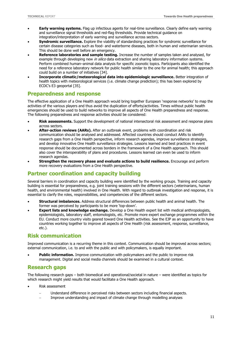- **Early warning systems.** Flag up infectious agents for real-time surveillance. Clearly define early warning and surveillance signal thresholds and red-flag thresholds. Provide technical guidance on integration/interpretation of early warning and surveillance across sectors.
- **Syndromic surveillance.** Explore the viability of standardising practices for syndromic surveillance for certain disease categories such as food- and waterborne diseases, both in human and veterinarian services. This should be done well before an emergency.
- **Reference laboratories and sample testing.** Increase the number of samples taken and analysed, for example through developing new *in silico* data extraction and sharing laboratory information systems. Perform combined human–animal data analysis for specific zoonotic topics. Participants also identified the need for a reference laboratory network for public health similar to the one for animal health; this approach could build on a number of initiatives [34].
- **Incorporate climatic/meteorological data into epidemiologic surveillance.** Better integration of health topics with meteorological services (i.e. climate change prediction); this has been explored by ECDC's E3 geoportal [35].

### <span id="page-15-0"></span>**Preparedness and response**

The effective application of a One Health approach would bring together European 'response networks' to map the activities of the various players and thus avoid the duplication of efforts/activities. Times without public health emergencies should be used to build networks to improve all aspects of One Health preparedness and response. The following preparedness and response activities should be considered:

- **Risk assessments.** Support the development of national intersectoral risk assessment and response plans across sectors.
- **After-action reviews (AARs).** After an outbreak event, problems with coordination and risk communication should be analysed and addressed. Affected countries should conduct AARs to identify research gaps from a One Health perspective, inform research agendas, improve surveillance strategies, and develop innovative One Health surveillance strategies. Lessons learned and best practices in event response should be documented across borders in the framework of a One Health approach. This should also cover the interoperability of plans and procedures. Lessons learned can even be used to inform research agendas.
- **Strengthen the recovery phase and evaluate actions to build resilience.** Encourage and perform more recovery evaluations from a One Health perspective.

### <span id="page-15-1"></span>**Partner coordination and capacity building**

Several barriers in coordination and capacity building were identified by the working groups. Training and capacity building is essential for preparedness, e.g. joint training sessions with the different sectors (veterinarians, human health, and environmental health) involved in One Health. With regard to outbreak investigation and response, it is essential to clarify the roles, responsibilities, and competencies of the different sectors.

- **Structural imbalances.** Address structural differences between public health and animal health. The former was perceived by participants to be more 'top-down'.
- **Expert lists and knowledge exchange.** Develop a One Health expert list with medical anthropologists, epidemiologists, laboratory staff, entomologists, etc. Promote more expert exchange programmes within the EU. Conduct more country visits geared toward One Health activities. See the EJP as an opportunity to have countries working together to improve all aspects of One Health (risk assessment, response, surveillance, etc.).

#### <span id="page-15-2"></span>**Risk communication**

Improved communication is a recurring theme in this context. Communication should be improved across sectors; external communication, i.e. to and with the public and with policymakers, is equally important.

 **Public information.** Improve communication with policymakers and the public to improve risk management. Digital and social media channels should be examined in a cultural context.

### <span id="page-15-3"></span>**Research gaps**

The following research gaps – both biomedical and operational/societal in nature – were identified as topics for which research might yield results that would facilitate a One Health approach.

- Risk assessment
	- Understand difference in perceived risks between sectors including financial aspects.
	- Improve understanding and impact of climate change through modelling analyses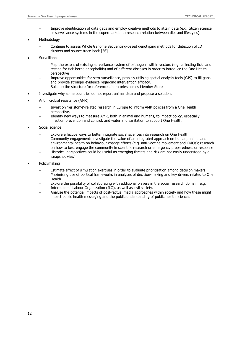- Improve identification of data gaps and employ creative methods to attain data (e.g. citizen science, or surveillance systems in the supermarkets to research relation between diet and lifestyles).
- Methodology
	- Continue to assess Whole Genome Sequencing-based genotyping methods for detection of ID clusters and source trace-back [36]
- **Surveillance** 
	- Map the extent of existing surveillance system of pathogens within vectors (e.g. collecting ticks and testing for tick-borne encephalitis) and of different diseases in order to introduce the One Health perspective
	- Improve opportunities for sero-surveillance, possibly utilising spatial analysis tools (GIS) to fill gaps and provide stronger evidence regarding intervention efficacy.
	- Build up the structure for reference laboratories across Member States.
- Investigate why some countries do not report animal data and propose a solution.
- Antimicrobial resistance (AMR)
	- Invest on 'resistome'-related research in Europe to inform AMR policies from a One Health perspective.
	- Identify new ways to measure AMR, both in animal and humans, to impact policy, especially infection prevention and control, and water and sanitation to support One Health.
- Social science
	- Explore effective ways to better integrate social sciences into research on One Health.
	- Community engagement: investigate the value of an integrated approach on human, animal and environmental health on behaviour change efforts (e.g. anti-vaccine movement and GMOs); research on how to best engage the community in scientific research or emergency preparedness or response
	- Historical perspectives could be useful as emerging threats and risk are not easily understood by a 'snapshot view'
- Policymaking
	- Estimate effect of simulation exercises in order to evaluate prioritisation among decision makers
	- Maximising use of political frameworks in analyses of decision-making and key drivers related to One Health
	- Explore the possibility of collaborating with additional players in the social research domain, e.g. International Labour Organization (ILO), as well as civil society.
	- Analyse the potential impacts of post-factual media approaches within society and how these might impact public health messaging and the public understanding of public health sciences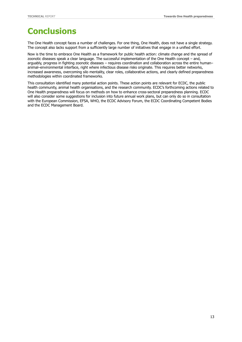## <span id="page-17-0"></span>**Conclusions**

The One Health concept faces a number of challenges. For one thing, One Health, does not have a single strategy. The concept also lacks support from a sufficiently large number of initiatives that engage in a unified effort.

Now is the time to embrace One Health as a framework for public health action: climate change and the spread of zoonotic diseases speak a clear language. The successful implementation of the One Health concept – and, arguably, progress in fighting zoonotic diseases – requires coordination and collaboration across the entire human– animal–environmental interface, right where infectious disease risks originate. This requires better networks, increased awareness, overcoming silo mentality, clear roles, collaborative actions, and clearly defined preparedness methodologies within coordinated frameworks.

This consultation identified many potential action points. These action points are relevant for ECDC, the public health community, animal health organisations, and the research community. ECDC's forthcoming actions related to One Health preparedness will focus on methods on how to enhance cross-sectoral preparedness planning. ECDC will also consider some suggestions for inclusion into future annual work plans, but can only do so in consultation with the European Commission, EFSA, WHO, the ECDC Advisory Forum, the ECDC Coordinating Competent Bodies and the ECDC Management Board.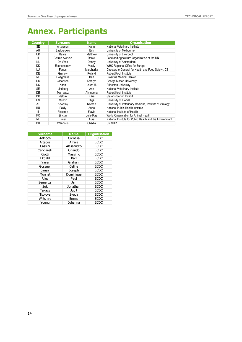## <span id="page-18-0"></span>**Annex. Participants**

| Country   | <b>Surname</b>  | <b>Name</b>                        | <b>Organisation</b>                                      |
|-----------|-----------------|------------------------------------|----------------------------------------------------------|
| <b>SE</b> | Artursson       | Karin                              | National Veterinary Institute                            |
| AU        | Baekkeskov      | Erik                               | University of Melbourne                                  |
| UK        | Baylis          | University of Liverpool<br>Matthew |                                                          |
| IT        | Beltran-Alcrudo | Daniel                             | Food and Agriculture Organization of the UN              |
| <b>NL</b> | De Vries        | Danny                              | University of Amsterdam                                  |
| DK        | Esenamanov      | Vasilv                             | WHO Regional Office for Europe                           |
| LU        | Fanos           | Margherita                         | Directorate-General for Health and Food Safety, C3       |
| DE        | Grunow          | Roland                             | Robert Koch Institute                                    |
| NL        | Haagmans        | Bart                               | Erasmus Medical Center                                   |
| <b>US</b> | Jacobsen        | Kathryn                            | George Mason University                                  |
| US        | Kahn            | Laura H.                           | Princeton University                                     |
| <b>SE</b> | Lindberg        | Ann                                | National Veterinary Institute                            |
| DE        | Mari sáez       | Almudena                           | Robert Koch Institute                                    |
| DK        | Mølbak          | Kåre                               | <b>Statens Serum Institut</b>                            |
| US        | Munoz           | Olga                               | University of Florida                                    |
| AT        | Nowotny         | Norbert                            | University of Veterinary Medicine, Institute of Virology |
| HU        | Páldy           | Anna                               | National Public Health Institute                         |
| ΙT        | Riccardo        | Flavia                             | National Institute of Health                             |
| <b>FR</b> | Sinclair        | Julie Rae                          | World Organisation for Animal Health                     |
| NL        | Timen           | Aura                               | National Institute for Public Health and the Environment |
| CН        | Wannous         | Chadia                             | UNISDR                                                   |

| <b>Surname</b> | <b>Name</b> | <b>Organisation</b> |
|----------------|-------------|---------------------|
| Adlhoch        | Cornelia    | <b>ECDC</b>         |
| Artacoz        | Amaia       | <b>ECDC</b>         |
| Cassini        | Alessandro  | <b>ECDC</b>         |
| Cenciarelli    | Orlando     | <b>ECDC</b>         |
| Ciotti         | Massimo     | <b>ECDC</b>         |
| Ekdahl         | Karl        | <b>ECDC</b>         |
| Fraser         | Graham      | <b>ECDC</b>         |
| Gossner        | Celine      | <b>ECDC</b>         |
| Jansa          | Joseph      | <b>ECDC</b>         |
| Monnet         | Dominique   | <b>ECDC</b>         |
| Riley          | Paul        | <b>ECDC</b>         |
| Semenza        | Jan         | <b>ECDC</b>         |
| Suk            | Jonathan    | <b>ECDC</b>         |
| <b>Takacs</b>  | Judit       | <b>ECDC</b>         |
| Tsolova        | Svetla      | <b>ECDC</b>         |
| Wiltshire      | Emma        | <b>ECDC</b>         |
| Young          | Johanna     | <b>ECDC</b>         |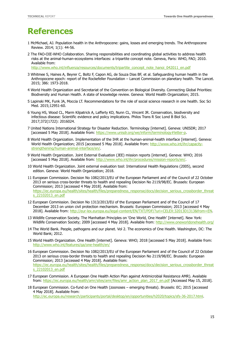## <span id="page-19-0"></span>**References**

- 1 [McMichael,](http://archive.wphna.org/wp-content/uploads/2014/09/201401_Anthropocene_Review_McMichael.pdf) AJ. Population health in the Anthropocene: gains, losses and emerging trends. The Anthropocene Review. 2014; 1(1): 44-56.
- 2 The FAO-OIE-WHO Collaboration. Sharing responsibilities and coordinating global activities to address health risks at the animal-human-ecosystems interfaces: a tripartite concept note. Geneva, Paris: WHO, FAO; 2010. Available from:

http://www.who.int/influenza/resources/documents/tripartite\_concept\_note\_hanoi\_042011\_en.pdf

- 3 [Whitmee](http://www.thelancet.com/pdfs/journals/lancet/PIIS0140-6736(15)60901-1.pdf) S, Haines A, Beyrer C, Boltz F, Capon AG, de Souza Dias BF, et al. Safeguarding human health in the Anthropocene epoch: report of the Rockefeller Foundation – Lancet Commission on planetary health. The Lancet. 2015; 386: 1973-2018.
- 4 World Health Organization and Secretariat of the Convention on Biological Diversity. Connecting Global Priorities: Biodiversity and Human Health. A state of knowledge review. Geneva: World Health Organization; 2015.
- 5 Lapinski MK, Funk JA, Moccia LT. Recommendations for the role of social science research in one health. Soc Sci Med. 2015;12951-60.
- 6 Young HS, Wood CL, Marm Kilpatrick A, Lafferty KD, Nunn CL, Vincent JR. Conservation, biodiversity and infectious disease: Scientific evidence and policy implications. Philos Trans R Soc Lond B Biol Sci. 2017;372(1722): 2016024.
- 7 United Nations International Strategy for Disaster Reduction. Terminology [internet]. Geneva: UNISDR; 2017 [accessed 5 May 2018]. Available from: [https://www.unisdr.org/we/inform/terminology#letter-p.](https://www.unisdr.org/we/inform/terminology#letter-p)
- 8 World Health Organization. Implementation of the IHR at the human-animal-health interface [internet]. Geneva: World Health Organization; 2015 [accessed 5 May 2018]. Available from: [http://www.who.int/ihr/capacity](http://www.who.int/ihr/capacity-strengthening/human-animal-interface/en/)[strengthening/human-animal-interface/en/.](http://www.who.int/ihr/capacity-strengthening/human-animal-interface/en/)
- 9 World Health Organization. Joint External Evaluation (JEE) mission reports [internet]. Geneva: WHO; 2016 [accessed 5 May 2018]. Available from: [http://www.who.int/ihr/procedures/mission-reports/en/.](http://www.who.int/ihr/procedures/mission-reports/en/)
- 10 World Health Organization. Joint external evaluation tool: International Health Regulations (2005), second edition. Geneva: World Health Organization; 2018.
- 11 European Commission. Decision No 1082/2013/EU of the European Parliament and of the Council of 22 October 2013 on serious cross-border threats to health and repealing Decision No 2119/98/EC. Brussels: European Commission; 2013 [accessed 4 May 2018]. Available from: [https://ec.europa.eu/health/sites/health/files/preparedness\\_response/docs/decision\\_serious\\_crossborder\\_threat](https://ec.europa.eu/health/sites/health/files/preparedness_response/docs/decision_serious_crossborder_threats_22102013_en.pdf) [s\\_22102013\\_en.pdf](https://ec.europa.eu/health/sites/health/files/preparedness_response/docs/decision_serious_crossborder_threats_22102013_en.pdf)
- 12 European Commission. Decision No 1313/2013/EU of the European Parliament and of the Council of 17 December 2013 on union civil protection mechanism. Brussels: European Commission; 2013 [accessed 4 May 2018]. Available from: [http://eur-lex.europa.eu/legal-content/EN/TXT/PDF/?uri=CELEX:32013D1313&from=EN.](http://eur-lex.europa.eu/legal-content/EN/TXT/PDF/?uri=CELEX:32013D1313&from=EN)
- 13 Wildlife Conservation Society. The Manhattan Principles on 'One World, One Health' [internet]. New York: Wildlife Conservation Society; 2009 [accessed 4 May 2018]. Available from:<http://www.oneworldonehealth.org/>
- 14 The World Bank. People, pathogens and our planet. Vol 2. The economics of One Health. Washington, DC: The World Bank; 2012.
- 15 World Health Organization. One Health [internet]. Geneva: WHO; 2018 [accessed 5 May 2018]. Available from: <http://www.who.int/features/qa/one-health/en/>
- 16 European Commission. Decision No 1082/2013/EU of the European Parliament and of the Council of 22 October 2013 on serious cross-border threats to health and repealing Decision No 2119/98/EC. Brussels: European Commission; 2013 [accessed 4 May 2018]. Available from: [https://ec.europa.eu/health/sites/health/files/preparedness\\_response/docs/decision\\_serious\\_crossborder\\_threat](https://ec.europa.eu/health/sites/health/files/preparedness_response/docs/decision_serious_crossborder_threats_22102013_en.pdf) [s\\_22102013\\_en.pdf](https://ec.europa.eu/health/sites/health/files/preparedness_response/docs/decision_serious_crossborder_threats_22102013_en.pdf)
- 17 European Commission. A European One Health Action Plan against Antimicrobial Resistance AMR). Available from: [https://ec.europa.eu/health/amr/sites/amr/files/amr\\_action\\_plan\\_2017\\_en.pdf](https://ec.europa.eu/health/amr/sites/amr/files/amr_action_plan_2017_en.pdf) [Accessed May 15, 2018].
- 18 European Commission. Co-fund on One Health (zoonoses emerging threats). Brussels: EC; 2015 [accessed 4 May 2018]. Available from:

[http://ec.europa.eu/research/participants/portal/desktop/en/opportunities/h2020/topics/sfs-36-2017.html.](http://ec.europa.eu/research/participants/portal/desktop/en/opportunities/h2020/topics/sfs-36-2017.html)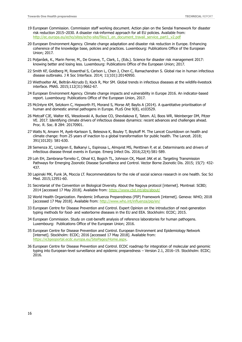- 19 European Commission. Commission staff working document. Action plan on the Sendai framework for disaster risk reduction 2015–2030. A disaster risk-informed approach for all EU policies. Available from: [http://ec.europa.eu/echo/sites/echo-site/files/1\\_en\\_document\\_travail\\_service\\_part1\\_v2.pdf](http://ec.europa.eu/echo/sites/echo-site/files/1_en_document_travail_service_part1_v2.pdf)
- 20 European Environment Agency. Climate change adaptation and disaster risk reduction in Europe. Enhancing coherence of the knowledge base, policies and practices. Luxembourg: Publications Office of the European Union; 2017.
- 21 Poljanšek, K., Marin Ferrer, M., De Groeve, T., Clark, I., (Eds.). Science for disaster risk management 2017: knowing better and losing less. Luxembourg: Publications Office of the European Union; 2017.
- 22 Smith KF, Goldberg M, Rosenthal S, Carlson L, Chen J, Chen C, Ramachandran S. Global rise in human infectious disease outbreaks. J R Soc Interface. 2014; 11(101):20140950.
- 23 Wiethoelter AK, Beltrán-Alcrudo D, Kock R, Mor SM. Global trends in infectious diseases at the wildlife-livestock interface. PNAS. 2015;112(31):9662-67.
- 24 [European](https://www.eea.europa.eu/themes/climate) Environment Agency. Climate change impacts and vulnerability in Europe 2016. An indicator-based report. Luxembourg: Publications Office of the European Union, 2017.
- 25 McIntyre KM, Setzkorn C, Hepworth PJ, Morand S, Morse AP, Baylis A (2014). A quantitative prioritisation of human and domestic animal pathogens in Europe. PLoS One 9(8), e103529.
- 26 Metcalf CJE, Walter KS, Wesolowski A, Buckee CO, Shevliakova E, Tatem. AJ, Boos WR, Weinberger DM, Pitzer VE. 2017. Identifying climate drivers of infectious disease dynamics: recent advances and challenges ahead. Proc. R. Soc. B 284: 20170901.
- 27 Watts N, Amann M, Ayeb-Karlsson S, Belesova K, Bouley T, Boykoff M. The Lancet Countdown on health and climate change: from 25 years of inaction to a global transformation for public health. The Lancet. 2018; 391(10120): 581-630.
- 28 Semenza JC, Lindgren E, Balkanyi L, Espinosa L, Almqvist MS, Penttinen P, et al. Determinants and drivers of infectious disease threat events in Europe. Emerg Infect Dis. 2016;22(4):581-589.
- 29 Loh EH, Zambrana-Torrelio C, Olival KJ, Bogich TL, Johnson CK, Mazet JAK et al. Targeting Transmission Pathways for Emerging Zoonotic Disease Surveillance and Control. Vector Borne Zoonotic Dis. 2015; 15(7): 432- 437.
- 30 Lapinski MK, Funk JA, Moccia LT. Recommendations for the role of social science research in one health. Soc Sci Med. 2015;12951-60.
- 31 Secretariat of the Convention on Biological Diversity. About the Nagoya protocol [internet]. Montreal: SCBD; 2014 [accessed 17 May 2018]. Available from:<https://www.cbd.int/abs/about/>
- 32 World Health Organization. Pandemic Influenza Preparedness (PIP) Framework [internet]. Geneva: WHO; 2018 [accessed 17 May 2018]. Available from:<http://www.who.int/influenza/pip/en/>
- 33 European Centre for Disease Prevention and Control. Expert Opinion on the introduction of next-generation typing methods for food- and waterborne diseases in the EU and EEA. Stockholm: ECDC; 2015.
- 34 European Commission. Study on cost-benefit analysis of reference laboratories for human pathogens. Luxembourg: Publications Office of the European Union; 2016.
- 35 European Centre for Disease Prevention and Control. European Environment and Epidemiology Network [internet]. Stockholm: ECDC; 2016 [accessed 17 May 2018]. Available from: [https://e3geoportal.ecdc.europa.eu/SitePages/Home.aspx.](https://e3geoportal.ecdc.europa.eu/SitePages/Home.aspx)
- 36 European Centre for Disease Prevention and Control. ECDC roadmap for integration of molecular and genomic typing into European-level surveillance and epidemic preparedness – Version 2.1, 2016–19. Stockholm: ECDC; 2016.